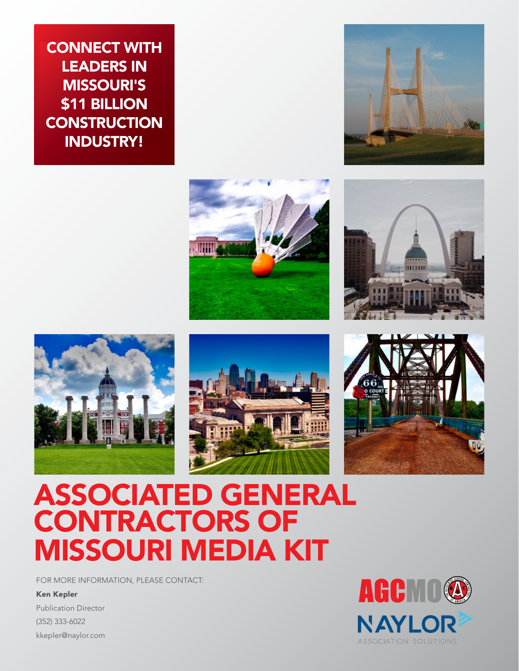**CONNECT WITH LEADERS IN** missouri's \$11 BILLION **CONSTRUCTION** industry!













# associated general **CONTRACTORS OF** missouri media kit

FOR MORE INFORMATION, PLEASE CONTACT:

Ken Kepler

Publication Director (352) 333-6022 kkepler@naylor.com

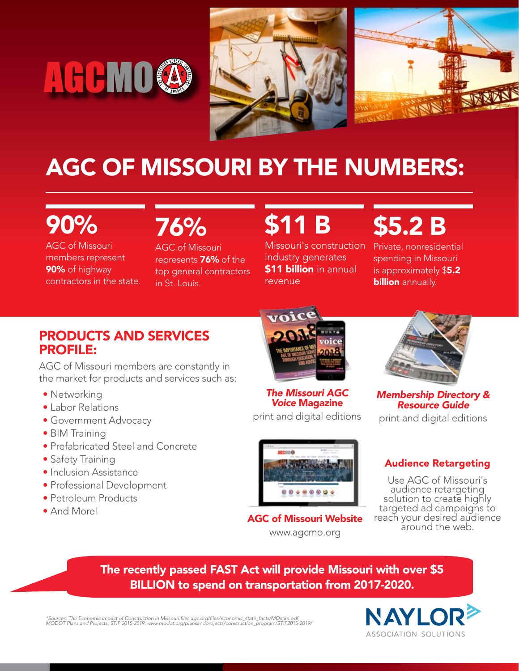





# agC of Missouri by the numbers:

# 90%

AGC of Missouri members represent 90% of highway contractors in the state. 76%

AGC of Missouri represents **76%** of the top general contractors in St. Louis.

# **\$11 B**

Missouri's construction industry generates **\$11 billion** in annual revenue

\$5.2 b

Private, nonresidential spending in Missouri is approximately \$5.2 **billion** annually.

# PRODUCTS AND SERVICES PROFILE:

AGC of Missouri members are constantly in the market for products and services such as:

- Networking
- • Labor Relations
- • Government Advocacy
- BIM Training
- Prefabricated Steel and Concrete
- Safety Training
- Inclusion Assistance
- • Professional Development
- Petroleum Products
- And More!



*The Missouri AGC Voice* Magazine

AGC of Missouri Website www.agcmo.org

print and digital editions



*Membership Directory & Resource Guide*

print and digital editions

## Audience Retargeting

Use AGC of Missouri's audience retargeting solution to create highly targeted ad campaigns to reach your desired audience around the web.

## The recently passed FAST Act will provide Missouri with over \$5 BILLION to spend on transportation from 2017-2020.

\*Sources: The Economic Impact of Construction in Missouri:files.agc.org/files/economic\_state\_facts/MOstim.pdf,<br>MODOT Plans and Projects, STIP 2015-2019: www.modot.org/plansandprojects/construction\_program/STIP2015-2019/

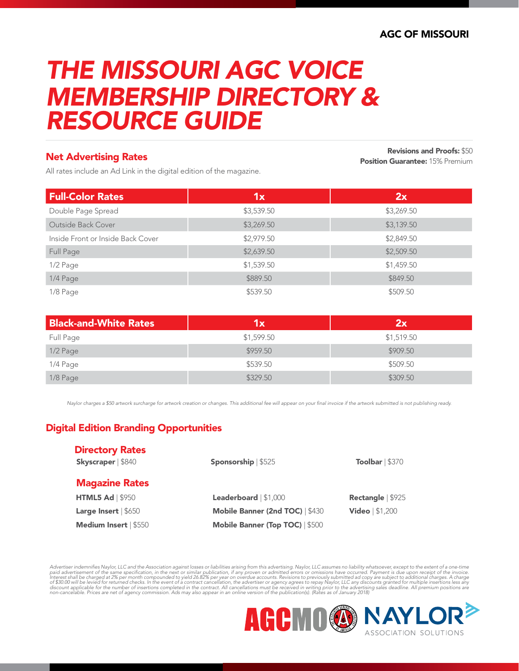# *The Missouri AGC Voice Membership Directory & Resource Guide*

#### Net Advertising Rates

All rates include an Ad Link in the digital edition of the magazine.

Revisions and Proofs: \$50 **Position Guarantee: 15% Premium** 

| <b>Full-Color Rates</b>           | '1x        | 2x         |
|-----------------------------------|------------|------------|
| Double Page Spread                | \$3,539.50 | \$3,269.50 |
| Outside Back Cover                | \$3,269.50 | \$3,139.50 |
| Inside Front or Inside Back Cover | \$2,979.50 | \$2,849.50 |
| Full Page                         | \$2,639.50 | \$2,509.50 |
| 1/2 Page                          | \$1,539.50 | \$1,459.50 |
| 1/4 Page                          | \$889.50   | \$849.50   |
| 1/8 Page                          | \$539.50   | \$509.50   |

| <b>Black-and-White Rates</b> | 1x         | 2x         |
|------------------------------|------------|------------|
| Full Page                    | \$1,599.50 | \$1,519.50 |
| 1/2 Page                     | \$959.50   | \$909.50   |
| 1/4 Page                     | \$539.50   | \$509.50   |
| 1/8 Page                     | \$329.50   | \$309.50   |

*Naylor charges a \$50 artwork surcharge for artwork creation or changes. This additional fee will appear on your final invoice if the artwork submitted is not publishing ready.*

### Digital Edition Branding Opportunities

| <b>Directory Rates</b><br>Skyscraper   \$840 | <b>Sponsorship</b> $$525$              | <b>Toolbar</b> $  $370$   |
|----------------------------------------------|----------------------------------------|---------------------------|
| <b>Magazine Rates</b>                        |                                        |                           |
| <b>HTML5 Ad   \$950</b>                      | Leaderboard   \$1,000                  | <b>Rectangle</b>   $$925$ |
| Large Insert $  $650$                        | Mobile Banner (2nd TOC)   \$430        | <b>Video</b> $  $1,200$   |
| <b>Medium Insert   \$550</b>                 | <b>Mobile Banner (Top TOC)   \$500</b> |                           |

Advertiser indemnifies Naylor, LLC and the Association against losses or liabilities arising from this advertising. Naylor, LLC assumes no liability whatsoever, except to the extent of a one-time paid advertising from the

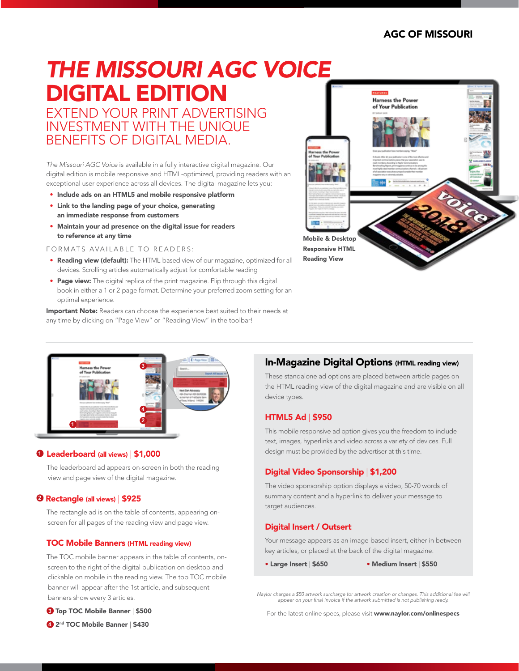# *The Missouri AGC Voice*  digital edition

Extend your print advertising investment with the unique benefits of digital media.

*The Missouri AGC Voice* is available in a fully interactive digital magazine. Our digital edition is mobile responsive and HTML-optimized, providing readers with an exceptional user experience across all devices. The digital magazine lets you:

- Include ads on an HTML5 and mobile responsive platform
- Link to the landing page of your choice, generating an immediate response from customers
- Maintain your ad presence on the digital issue for readers to reference at any time

FORMATS AVAILABLE TO READERS:

- Reading view (default): The HTML-based view of our magazine, optimized for all devices. Scrolling articles automatically adjust for comfortable reading
- Page view: The digital replica of the print magazine. Flip through this digital book in either a 1 or 2-page format. Determine your preferred zoom setting for an optimal experience.

Important Note: Readers can choose the experience best suited to their needs at any time by clicking on "Page View" or "Reading View" in the toolbar!





#### **0** Leaderboard (all views) | \$1,000

The leaderboard ad appears on-screen in both the reading view and page view of the digital magazine.

#### **2 Rectangle (all views) | \$925**

The rectangle ad is on the table of contents, appearing onscreen for all pages of the reading view and page view.

#### TOC Mobile Banners (HTML reading view)

The TOC mobile banner appears in the table of contents, onscreen to the right of the digital publication on desktop and clickable on mobile in the reading view. The top TOC mobile banner will appear after the 1st article, and subsequent banners show every 3 articles.

**3** Top TOC Mobile Banner | \$500

### In-Magazine Digital Options (HTML reading view)

These standalone ad options are placed between article pages on the HTML reading view of the digital magazine and are visible on all device types.

#### HTML5 Ad | \$950

This mobile responsive ad option gives you the freedom to include text, images, hyperlinks and video across a variety of devices. Full design must be provided by the advertiser at this time.

#### Digital Video Sponsorship | \$1,200

The video sponsorship option displays a video, 50-70 words of summary content and a hyperlink to deliver your message to target audiences.

#### Digital Insert / Outsert

Your message appears as an image-based insert, either in between key articles, or placed at the back of the digital magazine.

• Large Insert | \$650 • Medium Insert | \$550

*Naylor charges a \$50 artwork surcharge for artwork creation or changes. This additional fee will appear on your final invoice if the artwork submitted is not publishing ready.* 

For the latest online specs, please visit www.naylor.com/onlinespecs

<sup>4</sup> 2<sup>nd</sup> TOC Mobile Banner | \$430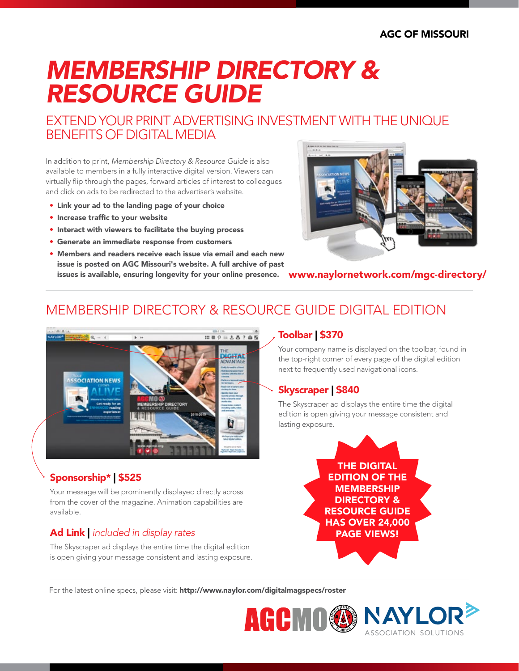# *Membership Directory & Resource Guide*

# EXTEND YOUR PRINT ADVERTISING INVESTMENT WITH THE UNIQUE benefits of digital media

In addition to print, *Membership Directory & Resource Guide* is also available to members in a fully interactive digital version. Viewers can virtually flip through the pages, forward articles of interest to colleagues and click on ads to be redirected to the advertiser's website.

- • Link your ad to the landing page of your choice
- • Increase traffic to your website
- Interact with viewers to facilitate the buying process
- • Generate an immediate response from customers
- Members and readers receive each issue via email and each new issue is posted on AGC Missouri's website. A full archive of past issues is available, ensuring longevity for your online presence.



www.naylornetwork.com/mgc-directory/

# membership directory & resource guide Digital edition



## Sponsorship\* | \$525

Your message will be prominently displayed directly across from the cover of the magazine. Animation capabilities are available.

## Ad Link | *included in display rates*

The Skyscraper ad displays the entire time the digital edition is open giving your message consistent and lasting exposure.

### Toolbar | \$370

Your company name is displayed on the toolbar, found in the top-right corner of every page of the digital edition next to frequently used navigational icons.

### Skyscraper | \$840

The Skyscraper ad displays the entire time the digital edition is open giving your message consistent and lasting exposure.



ASSOCIATION SOLUTIONS

For the latest online specs, please visit: http://www.naylor.com/digitalmagspecs/roster

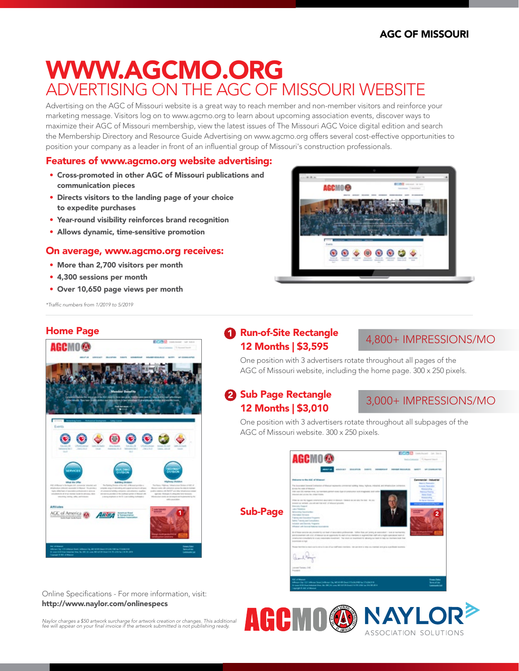# www.agcmo.org ADVERTISING ON THE AGC OF MISSOURI WE

Advertising on the AGC of Missouri website is a great way to reach member and non-member visitors and reinforce your marketing message. Visitors log on to www.agcmo.org to learn about upcoming association events, discover ways to maximize their AGC of Missouri membership, view the latest issues of The Missouri AGC Voice digital edition and search the Membership Directory and Resource Guide Advertising on www.agcmo.org offers several cost-effective opportunities to position your company as a leader in front of an influential group of Missouri's construction professionals.

#### Features of www.agcmo.org website advertising:

- Cross-promoted in other AGC of Missouri publications and communication pieces
- Directs visitors to the landing page of your choice to expedite purchases
- • Year-round visibility reinforces brand recognition
- Allows dynamic, time-sensitive promotion

#### On average, www.agcmo.org receives:

- More than 2,700 visitors per month
- • 4,300 sessions per month
- Over 10,650 page views per month

*\*Traffic numbers from 1/2019 to 5/2019*

ACC of America @ **ARTBA** 

Home Page

AGCMO@



## 1 **Run-of-Site Rectangle** 12 Months | \$3,595

### 4,800+ impressions/mo

One position with 3 advertisers rotate throughout all pages of the AGC of Missouri website, including the home page. 300 x 250 pixels.

### 2 Sub Page Rectangle 12 Months | \$3,010

3,000+ impressions/mo

One position with 3 advertisers rotate throughout all subpages of the AGC of Missouri website. 300 x 250 pixels.



Sub-Page

Online Specifications - For more information, visit: http://www.naylor.com/onlinespecs



Naylor charges a \$50 artwork surcharge for artwork creation or changes. This additional<br>fee will appear on your final invoice if the artwork submitted is not publishing ready.

1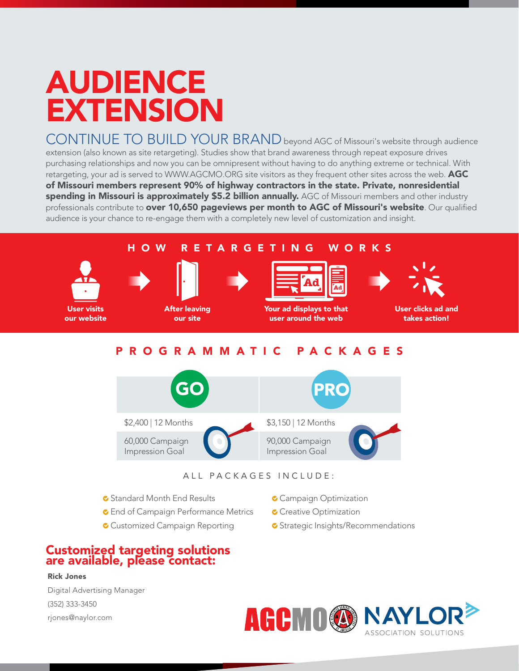# AUDIENCE extension

CONTINUE TO BUILD YOUR BRAND beyond AGC of Missouri's website through audience extension (also known as site retargeting). Studies show that brand awareness through repeat exposure drives purchasing relationships and now you can be omnipresent without having to do anything extreme or technical. With retargeting, your ad is served to WWW.AGCMO.ORG site visitors as they frequent other sites across the web. AGC of Missouri members represent 90% of highway contractors in the state. Private, nonresidential spending in Missouri is approximately \$5.2 billion annually. AGC of Missouri members and other industry professionals contribute to over 10,650 pageviews per month to AGC of Missouri's website*.* Our qualified audience is your chance to re-engage them with a completely new level of customization and insight.

### HOW R ETA R GETING WO R KS



User visits our website



After leaving our site



Your ad displays to that user around the web



User clicks ad and takes action!

## P r o g r ammatic Packages



ALL PACKAGES INCLUDE:

- G Standard Month End Results
- **C** End of Campaign Performance Metrics
- **C** Customized Campaign Reporting
- **C** Campaign Optimization
- Creative Optimization
- **C** Strategic Insights/Recommendations

#### Customized targeting solutions are available, please contact:

#### Rick Jones

Digital Advertising Manager (352) 333-3450 rjones@naylor.com

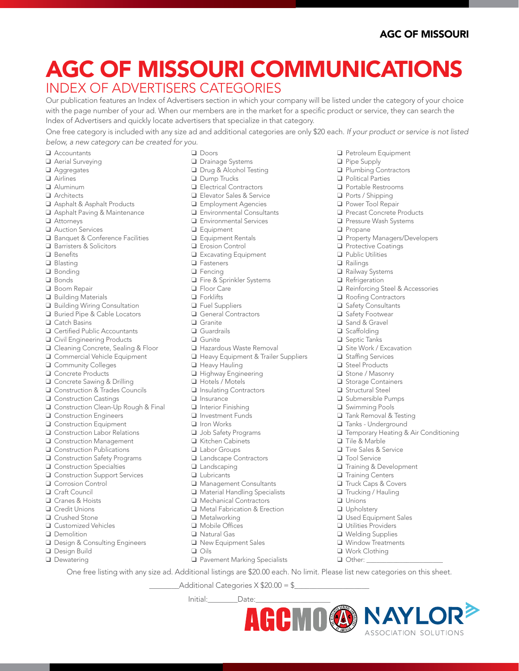❑ Petroleum Equipment

❑ Plumbing Contractors ❑ Political Parties ❑ Portable Restrooms ❑ Ports / Shipping ❑ Power Tool Repair ❑ Precast Concrete Products ❑ Pressure Wash Systems

❑ Protective Coatings ❑ Public Utilities ❑ Railings ❑ Railway Systems ❑ Refrigeration

❑ Roofing Contractors ❑ Safety Consultants ❑ Safety Footwear ❑ Sand & Gravel ❑ Scaffolding ❑ Septic Tanks ❑ Site Work / Excavation ❑ Staffing Services ❑ Steel Products ❑ Stone / Masonry ❑ Storage Containers ❑ Structural Steel ❑ Submersible Pumps ❑ Swimming Pools ❑ Tank Removal & Testing ❑ Tanks - Underground

❑ Property Managers/Developers

❑ Reinforcing Steel & Accessories

❑ Temporary Heating & Air Conditioning

ASSOCIATION SOLUTIONS

❑ Tile & Marble ❑ Tire Sales & Service ❑ Tool Service

❑ Unions ❑ Upholstery

❑ Training & Development ❑ Training Centers ❑ Truck Caps & Covers ❑ Trucking / Hauling

❑ Used Equipment Sales ❑ Utilities Providers ❑ Welding Supplies ❑ Window Treatments ❑ Work Clothing ❑ Other: \_\_\_\_\_\_\_\_\_\_\_\_\_\_\_\_\_\_\_\_\_\_\_

❑ Pipe Supply

❑ Propane

# Index of Advertisers Categories agc of missouri communications

Our publication features an Index of Advertisers section in which your company will be listed under the category of your choice with the page number of your ad. When our members are in the market for a specific product or service, they can search the Index of Advertisers and quickly locate advertisers that specialize in that category.

One free category is included with any size ad and additional categories are only \$20 each. *If your product or service is not listed below, a new category can be created for you*.

- ❑ Accountants
- ❑ Aerial Surveying
- ❑ Aggregates
- ❑ Airlines
- ❑ Aluminum
- ❑ Architects
- ❑ Asphalt & Asphalt Products
- ❑ Asphalt Paving & Maintenance
- ❑ Attorneys
- ❑ Auction Services
- ❑ Banquet & Conference Facilities
- ❑ Barristers & Solicitors
- ❑ Benefits
- ❑ Blasting
- ❑ Bonding
- ❑ Bonds
- ❑ Boom Repair
- ❑ Building Materials
- ❑ Building Wiring Consultation
- ❑ Buried Pipe & Cable Locators
- ❑ Catch Basins
- ❑ Certified Public Accountants
- ❑ Civil Engineering Products
- ❑ Cleaning Concrete, Sealing & Floor
- ❑ Commercial Vehicle Equipment
- ❑ Community Colleges
- ❑ Concrete Products
- ❑ Concrete Sawing & Drilling
- ❑ Construction & Trades Councils
- ❑ Construction Castings
- ❑ Construction Clean-Up Rough & Final
- ❑ Construction Engineers
- ❑ Construction Equipment
- ❑ Construction Labor Relations
- ❑ Construction Management
- ❑ Construction Publications
- ❑ Construction Safety Programs
- ❑ Construction Specialties
- ❑ Construction Support Services
- ❑ Corrosion Control
- ❑ Craft Council
- ❑ Cranes & Hoists
- ❑ Credit Unions
- ❑ Crushed Stone
- ❑ Customized Vehicles
- ❑ Demolition
- ❑ Design & Consulting Engineers
- ❑ Design Build
- ❑ Dewatering
- ❑ Doors
- ❑ Drainage Systems
- ❑ Drug & Alcohol Testing
- ❑ Dump Trucks
- ❑ Electrical Contractors
- ❑ Elevator Sales & Service
- ❑ Employment Agencies
- ❑ Environmental Consultants
- ❑ Environmental Services
- ❑ Equipment
- ❑ Equipment Rentals
- ❑ Erosion Control
- ❑ Excavating Equipment
- ❑ Fasteners
- ❑ Fencing
- ❑ Fire & Sprinkler Systems
- ❑ Floor Care
- ❑ Forklifts
- ❑ Fuel Suppliers
- ❑ General Contractors
- ❑ Granite
- ❑ Guardrails
- ❑ Gunite
- ❑ Hazardous Waste Removal
- ❑ Heavy Equipment & Trailer Suppliers
- ❑ Heavy Hauling
- ❑ Highway Engineering
- ❑ Hotels / Motels
- ❑ Insulating Contractors
- ❑ Insurance
- ❑ Interior Finishing
- ❑ Investment Funds
- ❑ Iron Works
- ❑ Job Safety Programs
- ❑ Kitchen Cabinets
- ❑ Labor Groups
- ❑ Landscape Contractors
- ❑ Landscaping
- ❑ Lubricants
- ❑ Management Consultants
- ❑ Material Handling Specialists
- ❑ Mechanical Contractors
- ❑ Metal Fabrication & Erection

Additional Categories  $X $20.00 = $$ 

❑ Pavement Marking Specialists

One free listing with any size ad. Additional listings are \$20.00 each. No limit. Please list new categories on this sheet.

Initial:\_\_\_\_\_\_\_\_Date:\_\_\_\_\_\_\_\_\_\_\_\_\_\_\_\_\_\_\_\_

- ❑ Metalworking
- ❑ Mobile Offices

❑ Oils

- ❑ Natural Gas
- ❑ New Equipment Sales